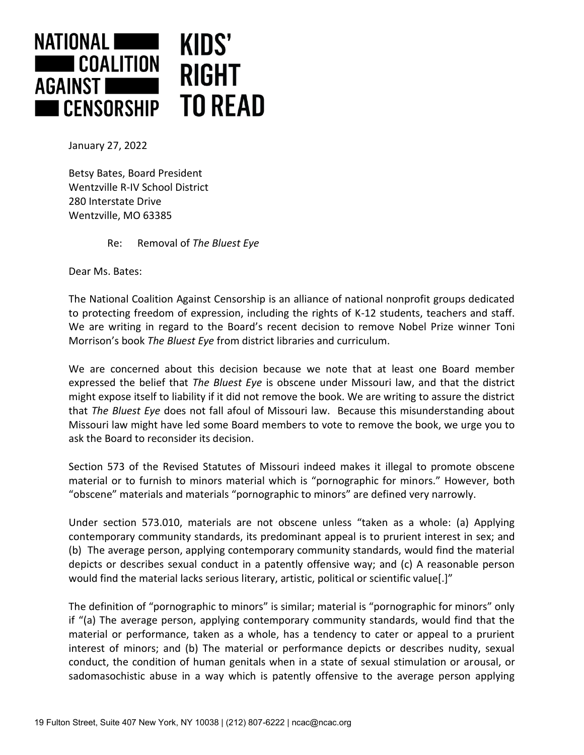

January 27, 2022

Betsy Bates, Board President Wentzville R-IV School District 280 Interstate Drive Wentzville, MO 63385

Re: Removal of *The Bluest Eye*

Dear Ms. Bates:

The National Coalition Against Censorship is an alliance of national nonprofit groups dedicated to protecting freedom of expression, including the rights of K-12 students, teachers and staff. We are writing in regard to the Board's recent decision to remove Nobel Prize winner Toni Morrison's book *The Bluest Eye* from district libraries and curriculum.

We are concerned about this decision because we note that at least one Board member expressed the belief that *The Bluest Eye* is obscene under Missouri law, and that the district might expose itself to liability if it did not remove the book. We are writing to assure the district that *The Bluest Eye* does not fall afoul of Missouri law. Because this misunderstanding about Missouri law might have led some Board members to vote to remove the book, we urge you to ask the Board to reconsider its decision.

Section 573 of the Revised Statutes of Missouri indeed makes it illegal to promote obscene material or to furnish to minors material which is "pornographic for minors." However, both "obscene" materials and materials "pornographic to minors" are defined very narrowly.

Under section 573.010, materials are not obscene unless "taken as a whole: (a) Applying contemporary community standards, its predominant appeal is to prurient interest in sex; and (b) The average person, applying contemporary community standards, would find the material depicts or describes sexual conduct in a patently offensive way; and (c) A reasonable person would find the material lacks serious literary, artistic, political or scientific value[.]"

The definition of "pornographic to minors" is similar; material is "pornographic for minors" only if "(a) The average person, applying contemporary community standards, would find that the material or performance, taken as a whole, has a tendency to cater or appeal to a prurient interest of minors; and (b) The material or performance depicts or describes nudity, sexual conduct, the condition of human genitals when in a state of sexual stimulation or arousal, or sadomasochistic abuse in a way which is patently offensive to the average person applying